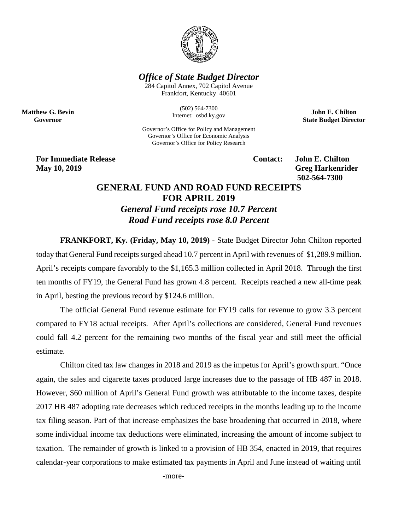

## *Office of State Budget Director*

284 Capitol Annex, 702 Capitol Avenue Frankfort, Kentucky 40601

> (502) 564-7300 Internet: osbd.ky.gov

Governor's Office for Policy and Management Governor's Office for Economic Analysis Governor's Office for Policy Research

**John E. Chilton State Budget Director**

**For Immediate Release Contact: John E. Chilton May 10, 2019** Greg Harkenrider

**Matthew G. Bevin Governor**

**502-564-7300** 

## **GENERAL FUND AND ROAD FUND RECEIPTS FOR APRIL 2019**

*General Fund receipts rose 10.7 Percent Road Fund receipts rose 8.0 Percent*

**FRANKFORT, Ky. (Friday, May 10, 2019)** - State Budget Director John Chilton reported today that General Fund receipts surged ahead 10.7 percent in April with revenues of \$1,289.9 million. April's receipts compare favorably to the \$1,165.3 million collected in April 2018. Through the first ten months of FY19, the General Fund has grown 4.8 percent. Receipts reached a new all-time peak in April, besting the previous record by \$124.6 million.

The official General Fund revenue estimate for FY19 calls for revenue to grow 3.3 percent compared to FY18 actual receipts. After April's collections are considered, General Fund revenues could fall 4.2 percent for the remaining two months of the fiscal year and still meet the official estimate.

Chilton cited tax law changes in 2018 and 2019 as the impetus for April's growth spurt. "Once again, the sales and cigarette taxes produced large increases due to the passage of HB 487 in 2018. However, \$60 million of April's General Fund growth was attributable to the income taxes, despite 2017 HB 487 adopting rate decreases which reduced receipts in the months leading up to the income tax filing season. Part of that increase emphasizes the base broadening that occurred in 2018, where some individual income tax deductions were eliminated, increasing the amount of income subject to taxation. The remainder of growth is linked to a provision of HB 354, enacted in 2019, that requires calendar-year corporations to make estimated tax payments in April and June instead of waiting until

-more-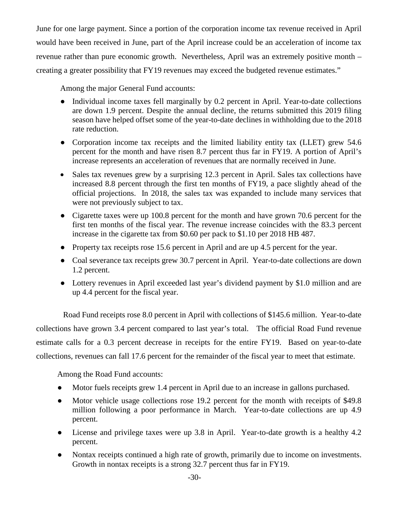June for one large payment. Since a portion of the corporation income tax revenue received in April would have been received in June, part of the April increase could be an acceleration of income tax revenue rather than pure economic growth. Nevertheless, April was an extremely positive month – creating a greater possibility that FY19 revenues may exceed the budgeted revenue estimates."

Among the major General Fund accounts:

- Individual income taxes fell marginally by 0.2 percent in April. Year-to-date collections are down 1.9 percent. Despite the annual decline, the returns submitted this 2019 filing season have helped offset some of the year-to-date declines in withholding due to the 2018 rate reduction.
- Corporation income tax receipts and the limited liability entity tax (LLET) grew 54.6 percent for the month and have risen 8.7 percent thus far in FY19. A portion of April's increase represents an acceleration of revenues that are normally received in June.
- Sales tax revenues grew by a surprising 12.3 percent in April. Sales tax collections have increased 8.8 percent through the first ten months of FY19, a pace slightly ahead of the official projections. In 2018, the sales tax was expanded to include many services that were not previously subject to tax.
- Cigarette taxes were up 100.8 percent for the month and have grown 70.6 percent for the first ten months of the fiscal year. The revenue increase coincides with the 83.3 percent increase in the cigarette tax from \$0.60 per pack to \$1.10 per 2018 HB 487.
- Property tax receipts rose 15.6 percent in April and are up 4.5 percent for the year.
- Coal severance tax receipts grew 30.7 percent in April. Year-to-date collections are down 1.2 percent.
- Lottery revenues in April exceeded last year's dividend payment by \$1.0 million and are up 4.4 percent for the fiscal year.

Road Fund receipts rose 8.0 percent in April with collections of \$145.6 million. Year-to-date collections have grown 3.4 percent compared to last year's total. The official Road Fund revenue estimate calls for a 0.3 percent decrease in receipts for the entire FY19. Based on year-to-date collections, revenues can fall 17.6 percent for the remainder of the fiscal year to meet that estimate.

Among the Road Fund accounts:

- Motor fuels receipts grew 1.4 percent in April due to an increase in gallons purchased.
- Motor vehicle usage collections rose 19.2 percent for the month with receipts of \$49.8 million following a poor performance in March. Year-to-date collections are up 4.9 percent.
- License and privilege taxes were up 3.8 in April. Year-to-date growth is a healthy 4.2 percent.
- Nontax receipts continued a high rate of growth, primarily due to income on investments. Growth in nontax receipts is a strong 32.7 percent thus far in FY19.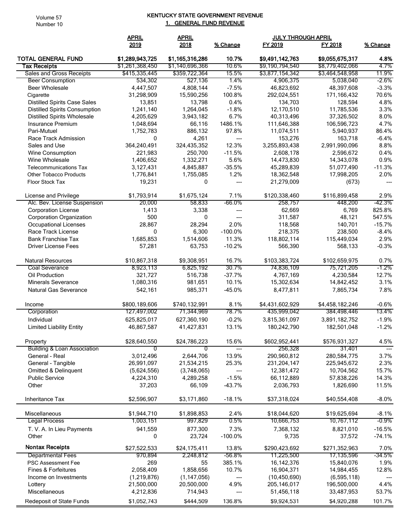Volume 57 Number 10

## KENTUCKY STATE GOVERNMENT REVENUE 1. GENERAL FUND REVENUE

|                                        | <b>APRIL</b>              | <b>APRIL</b><br>2018 | % Change          | <b>JULY THROUGH APRIL</b>     |                              |                      |
|----------------------------------------|---------------------------|----------------------|-------------------|-------------------------------|------------------------------|----------------------|
|                                        | 2019                      |                      |                   | FY 2019                       | FY 2018                      | % Change             |
| <b>TOTAL GENERAL FUND</b>              | \$1,289,943,725           | \$1,165,316,286      | 10.7%             | \$9,491,142,763               | \$9,055,675,317              | 4.8%                 |
| Tax Receipts                           | \$1,261,368,450           | \$1,140,696,366      | 10.6%             | \$9,190,794,540               | \$8,779,402,066              | 4.7%                 |
| Sales and Gross Receipts               | \$415,335,445             | \$359,722,364        | 15.5%             | \$3,877,154,342               | \$3,464,548,958              | 11.9%                |
| <b>Beer Consumption</b>                | 534,302                   | 527,136              | 1.4%              | 4,906,375                     | 5,038,040                    | -2.6%                |
| <b>Beer Wholesale</b>                  | 4,447,507                 | 4,808,144            | $-7.5%$           | 46,823,692                    | 48,397,608                   | $-3.3%$              |
| Cigarette                              | 31,298,909                | 15,590,256           | 100.8%            | 292,024,551                   | 171,166,432                  | 70.6%                |
| <b>Distilled Spirits Case Sales</b>    | 13,851                    | 13,798               | 0.4%              | 134,703                       | 128,594                      | 4.8%                 |
| <b>Distilled Spirits Consumption</b>   | 1,241,140                 | 1,264,045            | $-1.8%$           | 12,170,510                    | 11,785,536                   | 3.3%                 |
| <b>Distilled Spirits Wholesale</b>     | 4,205,629                 | 3,943,182            | 6.7%              | 40,313,496                    | 37,326,502                   | 8.0%                 |
| <b>Insurance Premium</b>               | 1,048,694                 | 66,116               | 1486.1%           | 111,646,388                   | 106,596,723                  | 4.7%                 |
| Pari-Mutuel                            | 1,752,783                 | 886,132              | 97.8%             | 11,074,511                    | 5,940,937                    | 86.4%                |
| Race Track Admission                   | $\mathbf{0}$              | 4,261                | ---               | 153,276                       | 163,718                      | $-6.4%$              |
| Sales and Use                          | 364,240,491               | 324,435,352          | 12.3%             | 3,255,893,438                 | 2,991,990,096                | 8.8%                 |
| <b>Wine Consumption</b>                | 221,983                   | 250,700              | $-11.5%$          | 2,608,178                     | 2,596,672                    | 0.4%                 |
| Wine Wholesale                         | 1,406,652                 | 1,332,271            | 5.6%              | 14,473,830                    | 14,343,078                   | 0.9%                 |
| <b>Telecommunications Tax</b>          | 3,127,431                 | 4,845,887            | $-35.5%$          |                               |                              | $-11.3%$             |
| <b>Other Tobacco Products</b>          | 1,776,841                 |                      | 1.2%              | 45,289,839                    | 51,077,490                   | 2.0%                 |
|                                        |                           | 1,755,085            |                   | 18,362,548                    | 17,998,205                   |                      |
| Floor Stock Tax                        | 19,231                    | 0                    | ---               | 21,279,009                    | (673)                        | ---                  |
| License and Privilege                  | \$1,793,914               | \$1,675,124          | 7.1%              | \$120,338,460                 | \$116,899,458                | 2.9%                 |
| Alc. Bev. License Suspension           | 20,000                    | 58,833               | -66.0%            | 258,757                       | 448,200                      | $-42.3%$             |
| <b>Corporation License</b>             | 1,413                     | 3,338                | ---               | 62,669                        | 6,769                        | 825.8%               |
| <b>Corporation Organization</b>        | 500                       | 0                    | ---               | 311,587                       | 48,121                       | 547.5%               |
| Occupational Licenses                  | 28,867                    | 28,294               | 2.0%              | 118,568                       | 140,701                      | $-15.7%$             |
| Race Track License                     | 0                         | 6,300                | $-100.0%$         | 218,375                       | 238,500                      | $-8.4%$              |
| <b>Bank Franchise Tax</b>              | 1,685,853                 | 1,514,606            | 11.3%             | 118,802,114                   | 115,449,034                  | 2.9%                 |
| <b>Driver License Fees</b>             | 57,281                    | 63,753               | $-10.2%$          | 566,390                       | 568,133                      | $-0.3%$              |
| <b>Natural Resources</b>               | \$10,867,318              | \$9,308,951          | 16.7%             | \$103,383,724                 | \$102,659,975                | 0.7%                 |
| <b>Coal Severance</b>                  | 8,923,113                 | 6,825,192            | 30.7%             | 74,836,109                    | 75,721,205                   | $-1.2%$              |
| Oil Production                         | 321,727                   | 516,738              | $-37.7%$          | 4,767,169                     | 4,230,584                    | 12.7%                |
| <b>Minerals Severance</b>              | 1,080,316                 | 981,651              | 10.1%             | 15,302,634                    | 14,842,452                   | 3.1%                 |
| <b>Natural Gas Severance</b>           | 542,161                   | 985,371              | $-45.0%$          | 8,477,811                     | 7,865,734                    | 7.8%                 |
|                                        |                           |                      |                   |                               |                              |                      |
| Income                                 | \$800,189,606             | \$740,132,991        | 8.1%              | \$4,431,602,929               | \$4,458,182,246              | $-0.6%$              |
| Corporation                            | 127,497,002               | 71,344,969           | 78.7%             | 435,999,042                   | 384,498,446                  | 13.4%                |
| Individual                             | 625,825,017               | 627,360,190          | $-0.2%$           | 3,815,361,097                 | 3,891,182,752                | $-1.9%$              |
| <b>Limited Liability Entity</b>        | 46,867,587                | 41,427,831           | 13.1%             | 180,242,790                   | 182,501,048                  | $-1.2%$              |
| Property                               | \$28,640,550              | \$24,786,223         | 15.6%             | \$602,952,441                 | \$576,931,327                | 4.5%                 |
| <b>Building &amp; Loan Association</b> | 0                         | 0                    |                   | 256,328                       | 31,401                       |                      |
| General - Real                         | 3,012,496                 | 2,644,706            | 13.9%             | 290,960,812                   | 280,584,775                  | 3.7%                 |
| General - Tangible                     | 26,991,097                | 21,534,215           | 25.3%             | 231,204,147                   | 225,945,672                  | 2.3%                 |
| Omitted & Delinquent                   | (5,624,556)               | (3,748,065)          | ---               | 12,381,472                    | 10,704,562                   | 15.7%                |
| <b>Public Service</b>                  | 4,224,310                 | 4,289,258            | $-1.5%$           | 66,112,889                    | 57,838,226                   | 14.3%                |
| Other                                  | 37,203                    | 66,109               | $-43.7%$          | 2,036,793                     | 1,826,690                    | 11.5%                |
| Inheritance Tax                        | \$2,596,907               | \$3,171,860          | $-18.1%$          | \$37,318,024                  | \$40,554,408                 | $-8.0%$              |
| Miscellaneous                          | \$1,944,710               | \$1,898,853          | 2.4%              | \$18,044,620                  | \$19,625,694                 | $-8.1%$              |
| <b>Legal Process</b>                   | 1,003,151                 |                      | 0.5%              | 10,666,753                    |                              | $-0.9\%$             |
|                                        |                           | 997,829              |                   |                               | 10,767,112                   |                      |
| T. V. A. In Lieu Payments<br>Other     | 941,559<br>0              | 877,300<br>23,724    | 7.3%<br>$-100.0%$ | 7,368,132<br>9,735            | 8,821,010<br>37,572          | $-16.5%$<br>$-74.1%$ |
| <b>Nontax Receipts</b>                 | \$27,522,533              | \$24,175,411         | 13.8%             | \$290,423,692                 | \$271,352,963                | 7.0%                 |
| <b>Departmental Fees</b>               | 970,894                   | 2,248,812            | $-56.8%$          | 11,225,500                    | 17,135,596                   | $-34.5%$             |
| PSC Assessment Fee                     | 269                       | 55                   | 385.1%            | 16, 142, 376                  | 15,840,076                   | 1.9%                 |
| Fines & Forfeitures                    | 2,058,409                 | 1,858,656            | 10.7%             | 16,904,371                    | 14,984,455                   | 12.8%                |
|                                        |                           | (1, 147, 056)        |                   |                               |                              |                      |
| Income on Investments<br>Lottery       | (1,219,876)<br>21,500,000 | 20,500,000           | ---<br>4.9%       | (10, 450, 690)<br>205,146,017 | (6, 595, 118)<br>196,500,000 | 4.4%                 |
| Miscellaneous                          | 4,212,836                 | 714,943              |                   |                               |                              | 53.7%                |
|                                        |                           |                      | ---               | 51,456,118                    | 33,487,953                   |                      |
| Redeposit of State Funds               | \$1,052,743               | \$444,509            | 136.8%            | \$9,924,531                   | \$4,920,288                  | 101.7%               |